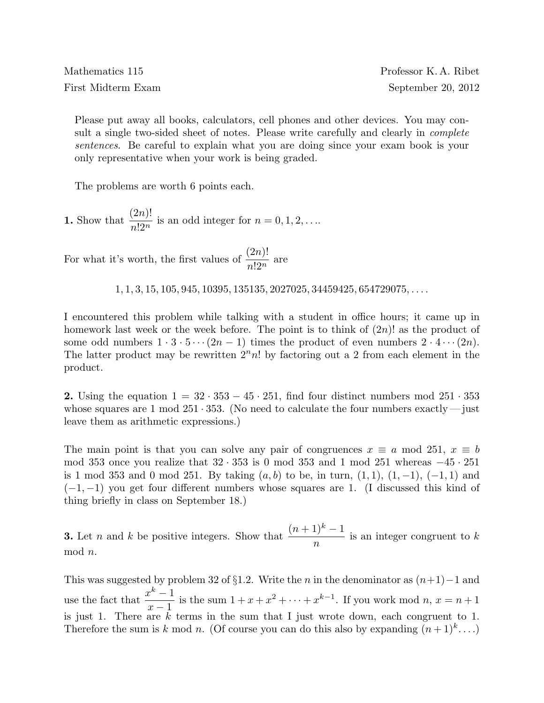Please put away all books, calculators, cell phones and other devices. You may consult a single two-sided sheet of notes. Please write carefully and clearly in *complete* sentences. Be careful to explain what you are doing since your exam book is your only representative when your work is being graded.

The problems are worth 6 points each.

1. Show that  $\frac{(2n)!}{\log n}$  $\frac{(2n)!}{n!2^n}$  is an odd integer for  $n = 0, 1, 2, \ldots$ 

For what it's worth, the first values of  $\frac{(2n)!}{\log n}$  $\frac{\overline{2n!}}{n!2^n}$  are

 $1, 1, 3, 15, 105, 945, 10395, 135135, 2027025, 34459425, 654729075, \ldots$ 

I encountered this problem while talking with a student in office hours; it came up in homework last week or the week before. The point is to think of  $(2n)!$  as the product of some odd numbers  $1 \cdot 3 \cdot 5 \cdots (2n-1)$  times the product of even numbers  $2 \cdot 4 \cdots (2n)$ . The latter product may be rewritten  $2<sup>n</sup>n!$  by factoring out a 2 from each element in the product.

2. Using the equation  $1 = 32 \cdot 353 - 45 \cdot 251$ , find four distinct numbers mod  $251 \cdot 353$ whose squares are 1 mod  $251 \cdot 353$ . (No need to calculate the four numbers exactly — just leave them as arithmetic expressions.)

The main point is that you can solve any pair of congruences  $x \equiv a \mod 251$ ,  $x \equiv b$ mod 353 once you realize that  $32 \cdot 353$  is 0 mod 353 and 1 mod 251 whereas  $-45 \cdot 251$ is 1 mod 353 and 0 mod 251. By taking  $(a, b)$  to be, in turn,  $(1, 1)$ ,  $(1, -1)$ ,  $(-1, 1)$  and  $(-1, -1)$  you get four different numbers whose squares are 1. (I discussed this kind of thing briefly in class on September 18.)

**3.** Let *n* and *k* be positive integers. Show that  $\frac{(n+1)^k - 1}{n}$ n is an integer congruent to k mod n.

This was suggested by problem 32 of §1.2. Write the *n* in the denominator as  $(n+1)-1$  and use the fact that  $\frac{x^k-1}{1}$  $x - 1$ is the sum  $1 + x + x^2 + \cdots + x^{k-1}$ . If you work mod  $n, x = n+1$ is just 1. There are  $\overline{k}$  terms in the sum that I just wrote down, each congruent to 1. Therefore the sum is k mod n. (Of course you can do this also by expanding  $(n+1)^k$ ...)